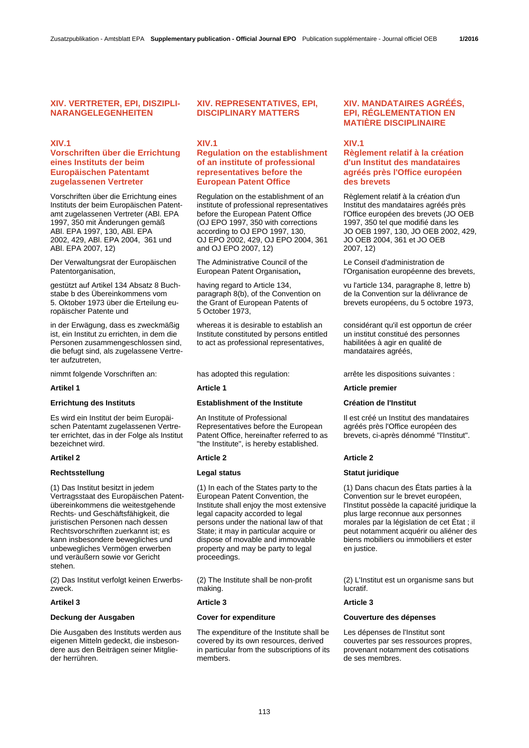# **XIV. VERTRETER, EPI, DISZIPLI-NARANGELEGENHEITEN**

# **XIV.1**

# **Vorschriften über die Errichtung eines Instituts der beim Europäischen Patentamt zugelassenen Vertreter**

Vorschriften über die Errichtung eines Instituts der beim Europäischen Patentamt zugelassenen Vertreter (ABl. EPA 1997, 350 mit Änderungen gemäß ABl. EPA 1997, 130, ABl. EPA 2002, 429, ABl. EPA 2004, 361 und ABl. EPA 2007, 12)

Der Verwaltungsrat der Europäischen Patentorganisation,

gestützt auf Artikel 134 Absatz 8 Buchstabe b des Übereinkommens vom 5. Oktober 1973 über die Erteilung europäischer Patente und

in der Erwägung, dass es zweckmäßig ist, ein Institut zu errichten, in dem die Personen zusammengeschlossen sind, die befugt sind, als zugelassene Vertreter aufzutreten,

Es wird ein Institut der beim Europäischen Patentamt zugelassenen Vertreter errichtet, das in der Folge als Institut bezeichnet wird.

### **Rechtsstellung Community Community Community Community Community Community Community Community Community Community Community Community Community Community Community Community Community Community Community Community Commun**

(1) Das Institut besitzt in jedem Vertragsstaat des Europäischen Patentübereinkommens die weitestgehende Rechts- und Geschäftsfähigkeit, die juristischen Personen nach dessen Rechtsvorschriften zuerkannt ist; es kann insbesondere bewegliches und unbewegliches Vermögen erwerben und veräußern sowie vor Gericht stehen.

(2) Das Institut verfolgt keinen Erwerbszweck.

Die Ausgaben des Instituts werden aus eigenen Mitteln gedeckt, die insbesondere aus den Beiträgen seiner Mitglieder herrühren.

## **XIV. REPRESENTATIVES, EPI, DISCIPLINARY MATTERS**

## **XIV.1**

# **Regulation on the establishment of an institute of professional representatives before the European Patent Office**

 Regulation on the establishment of an institute of professional representatives before the European Patent Office (OJ EPO 1997, 350 with corrections according to OJ EPO 1997, 130, OJ EPO 2002, 429, OJ EPO 2004, 361 and OJ EPO 2007, 12)

 The Administrative Council of the European Patent Organisation**,**

 having regard to Article 134, paragraph 8(b), of the Convention on the Grant of European Patents of 5 October 1973,

 whereas it is desirable to establish an Institute constituted by persons entitled to act as professional representatives,

# **Errichtung des Instituts Establishment of the Institute Création de l'Institut**

An Institute of Professional Representatives before the European Patent Office, hereinafter referred to as "the Institute", is hereby established.

### **Artikel 2 Article 2 Article 2**

 (1) In each of the States party to the European Patent Convention, the Institute shall enjoy the most extensive legal capacity accorded to legal persons under the national law of that State; it may in particular acquire or dispose of movable and immovable property and may be party to legal proceedings.

 (2) The Institute shall be non-profit making.

## **Artikel 3 Article 3 Article 3**

 The expenditure of the Institute shall be covered by its own resources, derived in particular from the subscriptions of its members.

# **XIV. MANDATAIRES AGRÉÉS, EPI, RÉGLEMENTATION EN MATIÈRE DISCIPLINAIRE**

## **XIV.1**

# **Règlement relatif à la création d'un Institut des mandataires agréés près l'Office européen des brevets**

 Règlement relatif à la création d'un Institut des mandataires agréés près l'Office européen des brevets (JO OEB 1997, 350 tel que modifié dans les JO OEB 1997, 130, JO OEB 2002, 429, JO OEB 2004, 361 et JO OEB 2007, 12)

 Le Conseil d'administration de l'Organisation européenne des brevets,

 vu l'article 134, paragraphe 8, lettre b) de la Convention sur la délivrance de brevets européens, du 5 octobre 1973,

 considérant qu'il est opportun de créer un institut constitué des personnes habilitées à agir en qualité de mandataires agréés,

nimmt folgende Vorschriften an: has adopted this regulation: arrête les dispositions suivantes :

### **Artikel 1 Article 1 Article premier**

 Il est créé un Institut des mandataires agréés près l'Office européen des brevets, ci-après dénommé "l'Institut".

 (1) Dans chacun des États parties à la Convention sur le brevet européen, l'Institut possède la capacité juridique la plus large reconnue aux personnes morales par la législation de cet État ; il peut notamment acquérir ou aliéner des biens mobiliers ou immobiliers et ester en justice.

 (2) L'Institut est un organisme sans but lucratif.

## **Deckung der Ausgaben Cover for expenditure Couverture des dépenses**

 Les dépenses de l'Institut sont couvertes par ses ressources propres, provenant notamment des cotisations de ses membres.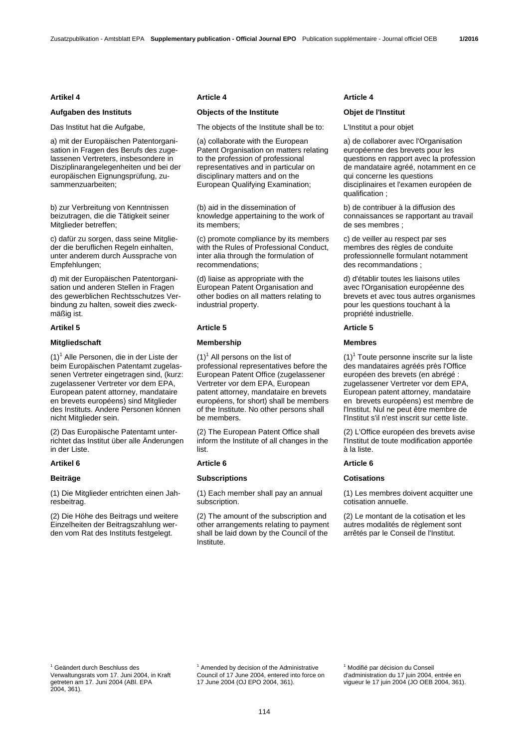## **Aufgaben des Instituts Objects of the Institute Objet de l'Institut**

a) mit der Europäischen Patentorganisation in Fragen des Berufs des zugelassenen Vertreters, insbesondere in Disziplinarangelegenheiten und bei der europäischen Eignungsprüfung, zusammenzuarbeiten;

b) zur Verbreitung von Kenntnissen beizutragen, die die Tätigkeit seiner Mitglieder betreffen;

c) dafür zu sorgen, dass seine Mitglieder die beruflichen Regeln einhalten, unter anderem durch Aussprache von Empfehlungen;

d) mit der Europäischen Patentorganisation und anderen Stellen in Fragen des gewerblichen Rechtsschutzes Verbindung zu halten, soweit dies zweckmäßig ist.

### **Mitgliedschaft Membership Membres**

(1)<sup>1</sup> Alle Personen, die in der Liste der beim Europäischen Patentamt zugelassenen Vertreter eingetragen sind, (kurz: zugelassener Vertreter vor dem EPA, European patent attorney, mandataire en brevets européens) sind Mitglieder des Instituts. Andere Personen können nicht Mitglieder sein.

(2) Das Europäische Patentamt unterrichtet das Institut über alle Änderungen in der Liste.

(1) Die Mitglieder entrichten einen Jahresbeitrag.

(2) Die Höhe des Beitrags und weitere Einzelheiten der Beitragszahlung werden vom Rat des Instituts festgelegt.

### **Artikel 4 Article 4 Article 4**

Das Institut hat die Aufgabe, The objects of the Institute shall be to: L'Institut a pour objet

 (a) collaborate with the European Patent Organisation on matters relating to the profession of professional representatives and in particular on disciplinary matters and on the European Qualifying Examination;

 (b) aid in the dissemination of knowledge appertaining to the work of its members;

 (c) promote compliance by its members with the Rules of Professional Conduct, inter alia through the formulation of recommendations;

 (d) liaise as appropriate with the European Patent Organisation and other bodies on all matters relating to industrial property.

### **Artikel 5 Article 5 Article 5**

 $(1)^1$  All persons on the list of professional representatives before the European Patent Office (zugelassener Vertreter vor dem EPA, European patent attorney, mandataire en brevets européens, for short) shall be members of the Institute. No other persons shall be members.

 (2) The European Patent Office shall inform the Institute of all changes in the list.

### **Beiträge Constant Constant Constant Constant Constant Constant Constant Constant Constant Constant Constant Constant Constant Constant Constant Constant Constant Constant Constant Constant Constant Constant Constant Const**

 (1) Each member shall pay an annual subscription.

 (2) The amount of the subscription and other arrangements relating to payment shall be laid down by the Council of the Institute.

 a) de collaborer avec l'Organisation européenne des brevets pour les questions en rapport avec la profession de mandataire agréé, notamment en ce qui concerne les questions disciplinaires et l'examen européen de qualification ;

 b) de contribuer à la diffusion des connaissances se rapportant au travail de ses membres ;

 c) de veiller au respect par ses membres des règles de conduite professionnelle formulant notamment des recommandations ;

 d) d'établir toutes les liaisons utiles avec l'Organisation européenne des brevets et avec tous autres organismes pour les questions touchant à la propriété industrielle.

 $(1)^{1}$  Toute personne inscrite sur la liste des mandataires agréés près l'Office européen des brevets (en abrégé : zugelassener Vertreter vor dem EPA, European patent attorney, mandataire en brevets européens) est membre de l'Institut. Nul ne peut être membre de l'Institut s'il n'est inscrit sur cette liste.

 (2) L'Office européen des brevets avise l'Institut de toute modification apportée à la liste.

### **Artikel 6 Article 6 Article 6**

 (1) Les membres doivent acquitter une cotisation annuelle.

 (2) Le montant de la cotisation et les autres modalités de règlement sont arrêtés par le Conseil de l'Institut.

<sup>1</sup> Geändert durch Beschluss des Verwaltungsrats vom 17. Juni 2004, in Kraft getreten am 17. Juni 2004 (ABl. EPA 2004, 361).

<sup>1</sup> Amended by decision of the Administrative Council of 17 June 2004, entered into force on 17 June 2004 (OJ EPO 2004, 361).

<sup>1</sup> Modifié par décision du Conseil d'administration du 17 juin 2004, entrée en vigueur le 17 juin 2004 (JO OEB 2004, 361).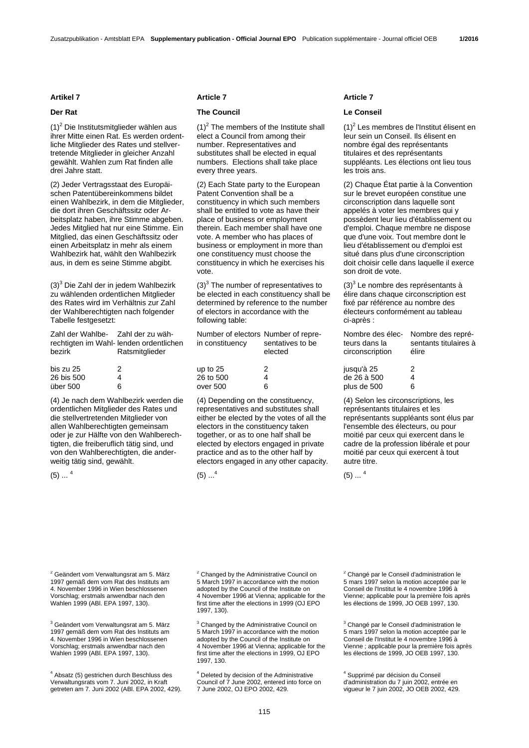$(1)^2$  Die Institutsmitglieder wählen aus ihrer Mitte einen Rat. Es werden ordentliche Mitglieder des Rates und stellvertretende Mitglieder in gleicher Anzahl gewählt. Wahlen zum Rat finden alle drei Jahre statt.

(2) Jeder Vertragsstaat des Europäischen Patentübereinkommens bildet einen Wahlbezirk, in dem die Mitglieder, die dort ihren Geschäftssitz oder Arbeitsplatz haben, ihre Stimme abgeben. Jedes Mitglied hat nur eine Stimme. Ein Mitglied, das einen Geschäftssitz oder einen Arbeitsplatz in mehr als einem Wahlbezirk hat, wählt den Wahlbezirk aus, in dem es seine Stimme abgibt.

(3)<sup>3</sup> Die Zahl der in jedem Wahlbezirk zu wählenden ordentlichen Mitglieder des Rates wird im Verhältnis zur Zahl der Wahlberechtigten nach folgender Tabelle festgesetzt:

| Zahl der Wahlbe- Zahl der zu wäh- |                                         |
|-----------------------------------|-----------------------------------------|
|                                   | rechtigten im Wahl- lenden ordentlichen |
| bezirk                            | Ratsmitglieder                          |
|                                   |                                         |
| bis zu 25                         | 2                                       |
| 26 bis 500                        | 4                                       |
| über 500                          |                                         |

(4) Je nach dem Wahlbezirk werden die ordentlichen Mitglieder des Rates und die stellvertretenden Mitglieder von allen Wahlberechtigten gemeinsam oder je zur Hälfte von den Wahlberechtigten, die freiberuflich tätig sind, und von den Wahlberechtigten, die anderweitig tätig sind, gewählt.

 $(5)$  ...  $4$ 

### **Artikel 7 Article 7 Article 7**

## **Der Rat Council Council Council Council Council Le Conseil**

 $(1)^2$  The members of the Institute shall elect a Council from among their number. Representatives and substitutes shall be elected in equal numbers. Elections shall take place every three years.

 (2) Each State party to the European Patent Convention shall be a constituency in which such members shall be entitled to vote as have their place of business or employment therein. Each member shall have one vote. A member who has places of business or employment in more than one constituency must choose the constituency in which he exercises his vote.

 $(3)^3$  The number of representatives to be elected in each constituency shall be determined by reference to the number of electors in accordance with the following table:

| Number of electors Number of repre-<br>in constituency | sentatives to be<br>elected |
|--------------------------------------------------------|-----------------------------|
| up to 25                                               | 2                           |
| 26 to 500                                              |                             |
| over 500                                               |                             |

 (4) Depending on the constituency, representatives and substitutes shall either be elected by the votes of all the electors in the constituency taken together, or as to one half shall be elected by electors engaged in private practice and as to the other half by electors engaged in any other capacity.

 $(5)$  ...<sup>4</sup>

 $(1)^2$  Les membres de l'Institut élisent en leur sein un Conseil. Ils élisent en nombre égal des représentants titulaires et des représentants suppléants. Les élections ont lieu tous les trois ans.

 (2) Chaque État partie à la Convention sur le brevet européen constitue une circonscription dans laquelle sont appelés à voter les membres qui y possèdent leur lieu d'établissement ou d'emploi. Chaque membre ne dispose que d'une voix. Tout membre dont le lieu d'établissement ou d'emploi est situé dans plus d'une circonscription doit choisir celle dans laquelle il exerce son droit de vote.

 $(3)^3$  Le nombre des représentants à élire dans chaque circonscription est fixé par référence au nombre des électeurs conformément au tableau ci-après :

| Nombre des élec-<br>teurs dans la<br>circonscription | Nombre des repré-<br>sentants titulaires à<br>élire |
|------------------------------------------------------|-----------------------------------------------------|
| jusqu'à 25                                           | 2                                                   |
| de 26 à 500                                          | 4                                                   |
| plus de 500                                          | ิค                                                  |

 (4) Selon les circonscriptions, les représentants titulaires et les représentants suppléants sont élus par l'ensemble des électeurs, ou pour moitié par ceux qui exercent dans le cadre de la profession libérale et pour moitié par ceux qui exercent à tout autre titre.

 $(5)$  ...  $<sup>4</sup>$ </sup>

<sup>2</sup> Geändert vom Verwaltungsrat am 5. März 1997 gemäß dem vom Rat des Instituts am 4. November 1996 in Wien beschlossenen Vorschlag; erstmals anwendbar nach den Wahlen 1999 (ABl. EPA 1997, 130).

<sup>3</sup> Geändert vom Verwaltungsrat am 5. März 1997 gemäß dem vom Rat des Instituts am 4. November 1996 in Wien beschlossenen Vorschlag; erstmals anwendbar nach den Wahlen 1999 (ABl. EPA 1997, 130).

4 Absatz (5) gestrichen durch Beschluss des Verwaltungsrats vom 7. Juni 2002, in Kraft getreten am 7. Juni 2002 (ABl. EPA 2002, 429). <sup>2</sup> Changed by the Administrative Council on 5 March 1997 in accordance with the motion adopted by the Council of the Institute on 4 November 1996 at Vienna; applicable for the first time after the elections in 1999 (OJ EPO 1997, 130).

<sup>3</sup> Changed by the Administrative Council on 5 March 1997 in accordance with the motion adopted by the Council of the Institute on 4 November 1996 at Vienna; applicable for the first time after the elections in 1999, OJ EPO 1997, 130.

4 Deleted by decision of the Administrative Council of 7 June 2002, entered into force on 7 June 2002, OJ EPO 2002, 429.

<sup>2</sup> Changé par le Conseil d'administration le 5 mars 1997 selon la motion acceptée par le Conseil de l'Institut le 4 novembre 1996 à Vienne; applicable pour la première fois après les élections de 1999, JO OEB 1997, 130.

<sup>3</sup> Changé par le Conseil d'administration le 5 mars 1997 selon la motion acceptée par le Conseil de l'Institut le 4 novembre 1996 à Vienne ; applicable pour la première fois après les élections de 1999, JO OEB 1997, 130.

4 Supprimé par décision du Conseil d'administration du 7 juin 2002, entrée en vigueur le 7 juin 2002, JO OEB 2002, 429.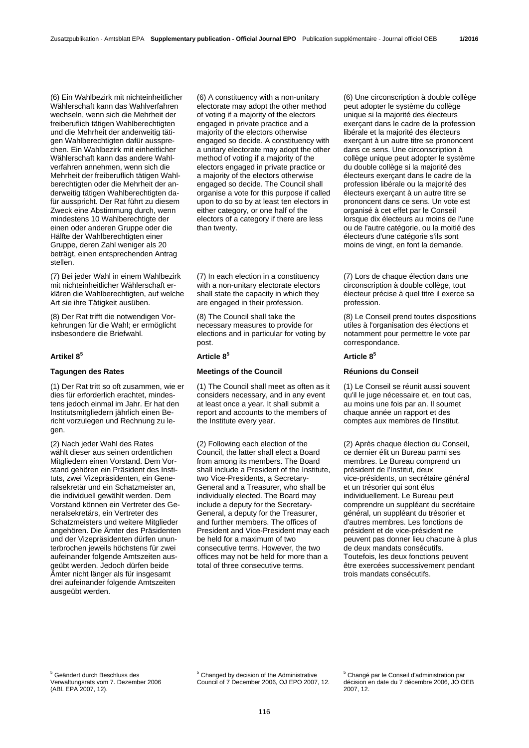(6) Ein Wahlbezirk mit nichteinheitlicher Wählerschaft kann das Wahlverfahren wechseln, wenn sich die Mehrheit der freiberuflich tätigen Wahlberechtigten und die Mehrheit der anderweitig tätigen Wahlberechtigten dafür aussprechen. Ein Wahlbezirk mit einheitlicher Wählerschaft kann das andere Wahlverfahren annehmen, wenn sich die Mehrheit der freiberuflich tätigen Wahlberechtigten oder die Mehrheit der anderweitig tätigen Wahlberechtigten dafür ausspricht. Der Rat führt zu diesem Zweck eine Abstimmung durch, wenn mindestens 10 Wahlberechtigte der einen oder anderen Gruppe oder die Hälfte der Wahlberechtigten einer Gruppe, deren Zahl weniger als 20 beträgt, einen entsprechenden Antrag stellen.

(7) Bei jeder Wahl in einem Wahlbezirk mit nichteinheitlicher Wählerschaft erklären die Wahlberechtigten, auf welche Art sie ihre Tätigkeit ausüben.

(8) Der Rat trifft die notwendigen Vorkehrungen für die Wahl; er ermöglicht insbesondere die Briefwahl.

## **Artikel 8<sup>5</sup> Article 85 Article 8<sup>5</sup>**

(1) Der Rat tritt so oft zusammen, wie er dies für erforderlich erachtet, mindestens jedoch einmal im Jahr. Er hat den Institutsmitgliedern jährlich einen Bericht vorzulegen und Rechnung zu legen.

(2) Nach jeder Wahl des Rates wählt dieser aus seinen ordentlichen Mitgliedern einen Vorstand. Dem Vorstand gehören ein Präsident des Instituts, zwei Vizepräsidenten, ein Generalsekretär und ein Schatzmeister an, die individuell gewählt werden. Dem Vorstand können ein Vertreter des Generalsekretärs, ein Vertreter des Schatzmeisters und weitere Mitglieder angehören. Die Ämter des Präsidenten und der Vizepräsidenten dürfen ununterbrochen jeweils höchstens für zwei aufeinander folgende Amtszeiten ausgeübt werden. Jedoch dürfen beide Ämter nicht länger als für insgesamt drei aufeinander folgende Amtszeiten ausgeübt werden.

 (6) A constituency with a non-unitary electorate may adopt the other method of voting if a majority of the electors engaged in private practice and a majority of the electors otherwise engaged so decide. A constituency with a unitary electorate may adopt the other method of voting if a majority of the electors engaged in private practice or a majority of the electors otherwise engaged so decide. The Council shall organise a vote for this purpose if called upon to do so by at least ten electors in either category, or one half of the electors of a category if there are less than twenty.

 (7) In each election in a constituency with a non-unitary electorate electors shall state the capacity in which they are engaged in their profession.

 (8) The Council shall take the necessary measures to provide for elections and in particular for voting by post.

## **Tagungen des Rates Meetings of the Council Réunions du Conseil**

 (1) The Council shall meet as often as it considers necessary, and in any event at least once a year. It shall submit a report and accounts to the members of the Institute every year.

 (2) Following each election of the Council, the latter shall elect a Board from among its members. The Board shall include a President of the Institute, two Vice-Presidents, a Secretary-General and a Treasurer, who shall be individually elected. The Board may include a deputy for the Secretary-General, a deputy for the Treasurer, and further members. The offices of President and Vice-President may each be held for a maximum of two consecutive terms. However, the two offices may not be held for more than a total of three consecutive terms.

 (6) Une circonscription à double collège peut adopter le système du collège unique si la majorité des électeurs exerçant dans le cadre de la profession libérale et la majorité des électeurs exerçant à un autre titre se prononcent dans ce sens. Une circonscription à collège unique peut adopter le système du double collège si la majorité des électeurs exerçant dans le cadre de la profession libérale ou la majorité des électeurs exerçant à un autre titre se prononcent dans ce sens. Un vote est organisé à cet effet par le Conseil lorsque dix électeurs au moins de l'une ou de l'autre catégorie, ou la moitié des électeurs d'une catégorie s'ils sont moins de vingt, en font la demande.

 (7) Lors de chaque élection dans une circonscription à double collège, tout électeur précise à quel titre il exerce sa profession.

 (8) Le Conseil prend toutes dispositions utiles à l'organisation des élections et notamment pour permettre le vote par correspondance.

 (1) Le Conseil se réunit aussi souvent qu'il le juge nécessaire et, en tout cas, au moins une fois par an. Il soumet chaque année un rapport et des comptes aux membres de l'Institut.

 (2) Après chaque élection du Conseil, ce dernier élit un Bureau parmi ses membres. Le Bureau comprend un président de l'Institut, deux vice-présidents, un secrétaire général et un trésorier qui sont élus individuellement. Le Bureau peut comprendre un suppléant du secrétaire général, un suppléant du trésorier et d'autres membres. Les fonctions de président et de vice-président ne peuvent pas donner lieu chacune à plus de deux mandats consécutifs. Toutefois, les deux fonctions peuvent être exercées successivement pendant trois mandats consécutifs.

5 Geändert durch Beschluss des Verwaltungsrats vom 7. Dezember 2006 (ABl. EPA 2007, 12).

<sup>5</sup> Changed by decision of the Administrative Council of 7 December 2006, OJ EPO 2007, 12. 5 Changé par le Conseil d'administration par décision en date du 7 décembre 2006, JO OEB 2007, 12.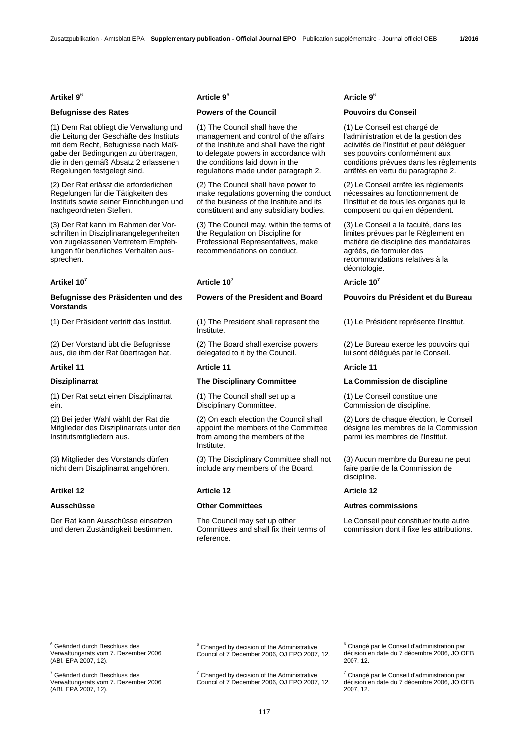(1) Dem Rat obliegt die Verwaltung und die Leitung der Geschäfte des Instituts mit dem Recht, Befugnisse nach Maßgabe der Bedingungen zu übertragen, die in den gemäß Absatz 2 erlassenen Regelungen festgelegt sind.

(2) Der Rat erlässt die erforderlichen Regelungen für die Tätigkeiten des Instituts sowie seiner Einrichtungen und nachgeordneten Stellen.

(3) Der Rat kann im Rahmen der Vorschriften in Disziplinarangelegenheiten von zugelassenen Vertretern Empfehlungen für berufliches Verhalten aussprechen.

## **Artikel 10<sup>7</sup> Article 107 Article 10<sup>7</sup>**

## **Befugnisse des Präsidenten und des Vorstands**

(2) Der Vorstand übt die Befugnisse aus, die ihm der Rat übertragen hat.

### **Artikel 11 Article 11 Article 11**

(1) Der Rat setzt einen Disziplinarrat ein.

(2) Bei jeder Wahl wählt der Rat die Mitglieder des Disziplinarrats unter den Institutsmitgliedern aus.

(3) Mitglieder des Vorstands dürfen nicht dem Disziplinarrat angehören.

Der Rat kann Ausschüsse einsetzen und deren Zuständigkeit bestimmen.

## **Artikel 9**<sup>6</sup> **Article 9**<sup>6</sup> **Article 9**<sup>6</sup>

## **Befugnisse des Rates Powers of the Council Pouvoirs du Conseil**

 (1) The Council shall have the management and control of the affairs of the Institute and shall have the right to delegate powers in accordance with the conditions laid down in the regulations made under paragraph 2.

 (2) The Council shall have power to make regulations governing the conduct of the business of the Institute and its constituent and any subsidiary bodies.

 (3) The Council may, within the terms of the Regulation on Discipline for Professional Representatives, make recommendations on conduct.

(1) Der Präsident vertritt das Institut. (1) The President shall represent the Institute.

> (2) The Board shall exercise powers delegated to it by the Council.

 (1) The Council shall set up a Disciplinary Committee.

 (2) On each election the Council shall appoint the members of the Committee from among the members of the Institute.

 (3) The Disciplinary Committee shall not include any members of the Board.

### **Artikel 12 Article 12 Article 12**

 The Council may set up other Committees and shall fix their terms of reference.

 (1) Le Conseil est chargé de l'administration et de la gestion des activités de l'Institut et peut déléguer ses pouvoirs conformément aux conditions prévues dans les règlements arrêtés en vertu du paragraphe 2.

 (2) Le Conseil arrête les règlements nécessaires au fonctionnement de l'Institut et de tous les organes qui le composent ou qui en dépendent.

 (3) Le Conseil a la faculté, dans les limites prévues par le Règlement en matière de discipline des mandataires agréés, de formuler des recommandations relatives à la déontologie.

### **Powers of the President and Board Pouvoirs du Président et du Bureau**

(1) Le Président représente l'Institut.

 (2) Le Bureau exerce les pouvoirs qui lui sont délégués par le Conseil.

### **Disziplinarrat The Disciplinary Committee La Commission de discipline**

 (1) Le Conseil constitue une Commission de discipline.

 (2) Lors de chaque élection, le Conseil désigne les membres de la Commission parmi les membres de l'Institut.

 (3) Aucun membre du Bureau ne peut faire partie de la Commission de discipline.

### **Ausschüsse Other Committees Autres commissions**

 Le Conseil peut constituer toute autre commission dont il fixe les attributions.

<sup>6</sup> Geändert durch Beschluss des Verwaltungsrats vom 7. Dezember 2006 (ABl. EPA 2007, 12).

7 Geändert durch Beschluss des Verwaltungsrats vom 7. Dezember 2006 (ABl. EPA 2007, 12).

<sup>6</sup> Changed by decision of the Administrative Council of 7 December 2006, OJ EPO 2007, 12.

 $7$  Changed by decision of the Administrative Council of 7 December 2006, OJ EPO 2007, 12. 6 Changé par le Conseil d'administration par décision en date du 7 décembre 2006, JO OEB 2007, 12.

7 Changé par le Conseil d'administration par décision en date du 7 décembre 2006, JO OEB 2007, 12.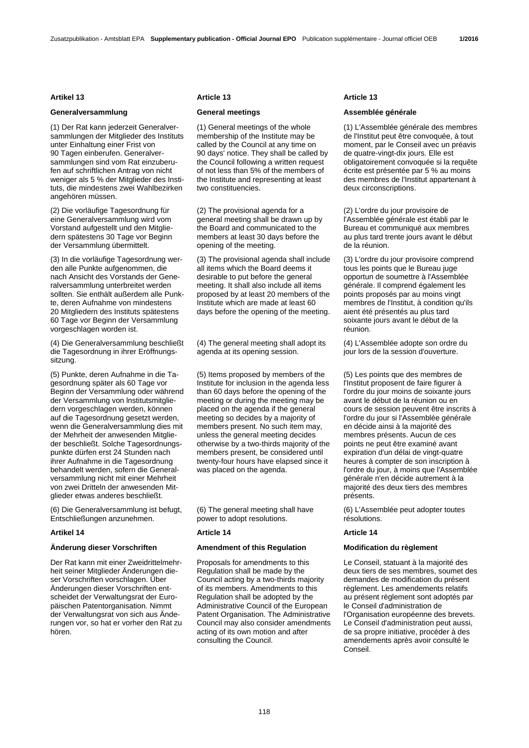## **Generalversammlung General meetings Assemblée générale**

(1) Der Rat kann jederzeit Generalversammlungen der Mitglieder des Instituts unter Einhaltung einer Frist von 90 Tagen einberufen. Generalversammlungen sind vom Rat einzuberufen auf schriftlichen Antrag von nicht weniger als 5 % der Mitglieder des Instituts, die mindestens zwei Wahlbezirken angehören müssen.

(2) Die vorläufige Tagesordnung für eine Generalversammlung wird vom Vorstand aufgestellt und den Mitgliedern spätestens 30 Tage vor Beginn der Versammlung übermittelt.

(3) In die vorläufige Tagesordnung werden alle Punkte aufgenommen, die nach Ansicht des Vorstands der Generalversammlung unterbreitet werden sollten. Sie enthält außerdem alle Punkte, deren Aufnahme von mindestens 20 Mitgliedern des Instituts spätestens 60 Tage vor Beginn der Versammlung vorgeschlagen worden ist.

(4) Die Generalversammlung beschließt die Tagesordnung in ihrer Eröffnungssitzung.

(5) Punkte, deren Aufnahme in die Tagesordnung später als 60 Tage vor Beginn der Versammlung oder während der Versammlung von lnstitutsmitgliedern vorgeschlagen werden, können auf die Tagesordnung gesetzt werden, wenn die Generalversammlung dies mit der Mehrheit der anwesenden Mitglieder beschließt. Solche Tagesordnungspunkte dürfen erst 24 Stunden nach ihrer Aufnahme in die Tagesordnung behandelt werden, sofern die Generalversammlung nicht mit einer Mehrheit von zwei Dritteln der anwesenden Mitglieder etwas anderes beschließt.

(6) Die Generalversammlung ist befugt, Entschließungen anzunehmen.

### **Artikel 14 Article 14 Article 14**

## **Änderung dieser Vorschriften Amendment of this Regulation Modification du règlement**

Der Rat kann mit einer Zweidrittelmehrheit seiner Mitglieder Änderungen dieser Vorschriften vorschlagen. Über Änderungen dieser Vorschriften entscheidet der Verwaltungsrat der Europäischen Patentorganisation. Nimmt der Verwaltungsrat von sich aus Änderungen vor, so hat er vorher den Rat zu hören.

### Artikel 13 **Article 13** Article 13 **Article 13** Article 13

 (1) General meetings of the whole membership of the Institute may be called by the Council at any time on 90 days' notice. They shall be called by the Council following a written request of not less than 5% of the members of the Institute and representing at least two constituencies.

 (2) The provisional agenda for a general meeting shall be drawn up by the Board and communicated to the members at least 30 days before the opening of the meeting.

 (3) The provisional agenda shall include all items which the Board deems it desirable to put before the general meeting. It shall also include all items proposed by at least 20 members of the Institute which are made at least 60 days before the opening of the meeting.

 (4) The general meeting shall adopt its agenda at its opening session.

 (5) Items proposed by members of the Institute for inclusion in the agenda less than 60 days before the opening of the meeting or during the meeting may be placed on the agenda if the general meeting so decides by a majority of members present. No such item may, unless the general meeting decides otherwise by a two-thirds majority of the members present, be considered until twenty-four hours have elapsed since it was placed on the agenda.

 (6) The general meeting shall have power to adopt resolutions.

 Proposals for amendments to this Regulation shall be made by the Council acting by a two-thirds majority of its members. Amendments to this Regulation shall be adopted by the Administrative Council of the European Patent Organisation. The Administrative Council may also consider amendments acting of its own motion and after consulting the Council.

 (1) L'Assemblée générale des membres de l'Institut peut être convoquée, à tout moment, par le Conseil avec un préavis de quatre-vingt-dix jours. Elle est obligatoirement convoquée si la requête écrite est présentée par 5 % au moins des membres de l'Institut appartenant à deux circonscriptions.

 (2) L'ordre du jour provisoire de l'Assemblée générale est établi par le Bureau et communiqué aux membres au plus tard trente jours avant le début de la réunion.

 (3) L'ordre du jour provisoire comprend tous les points que le Bureau juge opportun de soumettre à l'Assemblée générale. Il comprend également les points proposés par au moins vingt membres de l'Institut, à condition qu'ils aient été présentés au plus tard soixante jours avant le début de la réunion.

 (4) L'Assemblée adopte son ordre du jour lors de la session d'ouverture.

 (5) Les points que des membres de l'Institut proposent de faire figurer à l'ordre du jour moins de soixante jours avant le début de la réunion ou en cours de session peuvent être inscrits à l'ordre du jour si l'Assemblée générale en décide ainsi à la majorité des membres présents. Aucun de ces points ne peut être examiné avant expiration d'un délai de vingt-quatre heures à compter de son inscription à l'ordre du jour, à moins que l'Assemblée générale n'en décide autrement à la majorité des deux tiers des membres présents.

 (6) L'Assemblée peut adopter toutes résolutions.

 Le Conseil, statuant à la majorité des deux tiers de ses membres, soumet des demandes de modification du présent règlement. Les amendements relatifs au présent règlement sont adoptés par le Conseil d'administration de l'Organisation européenne des brevets. Le Conseil d'administration peut aussi, de sa propre initiative, procéder à des amendements après avoir consulté le Conseil.